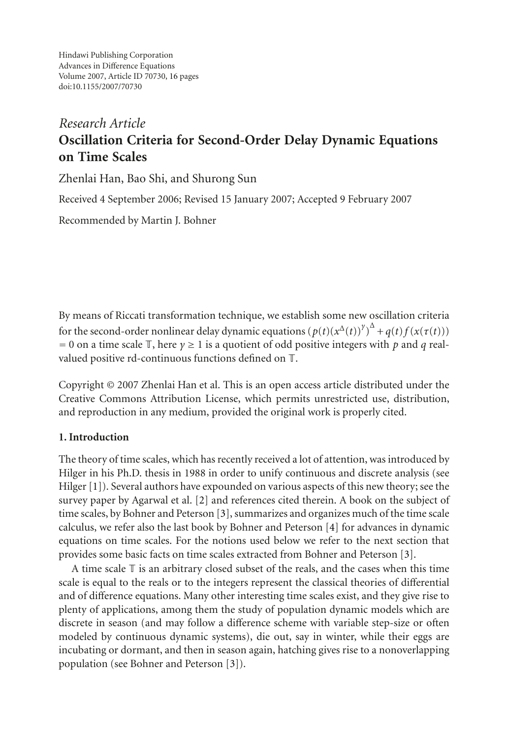Hindawi Publishing Corporation Advances in Difference Equations Volume 2007, Article ID 70730, [16](#page-14-0) pages doi:10.1155/2007/70730

# *Research Article* **Oscillation Criteria for Second-Order Delay Dynamic Equations on Time Scales**

Zhenlai Han, Bao Shi, and Shurong Sun

Received 4 September 2006; Revised 15 January 2007; Accepted 9 February 2007

Recommended by Martin J. Bohner

By means of Riccati transformation technique, we establish some new oscillation criteria for the second-order nonlinear delay dynamic equations  $(p(t)(x^{\Delta}(t))^{\gamma})^{\Delta} + q(t)f(x(\tau(t)))$ <br>= 0 on a time scale  $\mathbb T$  here  $\nu > 1$  is a quotient of odd positive integers with p and *a* real-= 0 on a time scale  $\mathbb{T}$ , here  $\gamma \ge 1$  is a quotient of odd positive integers with *p* and *q* realvalued positive rd-continuous functions defined on T.

Copyright © 2007 Zhenlai Han et al. This is an open access article distributed under the Creative Commons Attribution License, which permits unrestricted use, distribution, and reproduction in any medium, provided the original work is properly cited.

# **1. Introduction**

The theory of time scales, which has recently received a lot of attention, was introduced by Hilger in his Ph.D. thesis in 1988 in order to unify continuous and discrete analysis (see Hilger [\[1](#page-14-1)]). Several authors have expounded on various aspects of this new theory; see the survey paper by Agarwal et al. [\[2](#page-14-2)] and references cited therein. A book on the subject of time scales, by Bohner and Peterson [\[3\]](#page-14-3), summarizes and organizes much of the time scale calculus, we refer also the last book by Bohner and Peterson [\[4](#page-14-4)] for advances in dynamic equations on time scales. For the notions used below we refer to the next section that provides some basic facts on time scales extracted from Bohner and Peterson [\[3](#page-14-3)].

A time scale  $\mathbb T$  is an arbitrary closed subset of the reals, and the cases when this time scale is equal to the reals or to the integers represent the classical theories of differential and of difference equations. Many other interesting time scales exist, and they give rise to plenty of applications, among them the study of population dynamic models which are discrete in season (and may follow a difference scheme with variable step-size or often modeled by continuous dynamic systems), die out, say in winter, while their eggs are incubating or dormant, and then in season again, hatching gives rise to a nonoverlapping population (see Bohner and Peterson [\[3\]](#page-14-3)).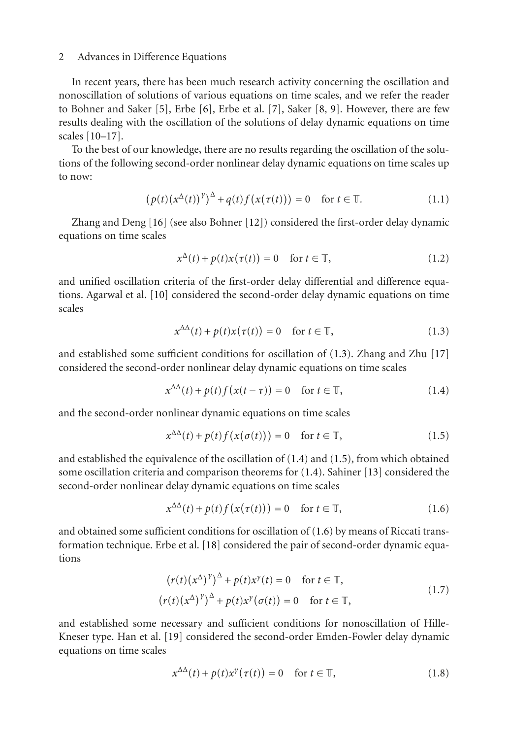In recent years, there has been much research activity concerning the oscillation and nonoscillation of solutions of various equations on time scales, and we refer the reader to Bohner and Saker [\[5\]](#page-14-5), Erbe [\[6\]](#page-14-6), Erbe et al. [\[7\]](#page-14-7), Saker [\[8,](#page-14-8) [9](#page-14-9)]. However, there are few results dealing with the oscillation of the solutions of delay dynamic equations on time scales [\[10](#page-14-10)[–17\]](#page-14-11).

To the best of our knowledge, there are no results regarding the oscillation of the solutions of the following second-order nonlinear delay dynamic equations on time scales up to now:

$$
\left(p(t)\left(x^{\Delta}(t)\right)^{\gamma}\right)^{\Delta} + q(t)f\left(x(\tau(t))\right) = 0 \quad \text{for } t \in \mathbb{T}.\tag{1.1}
$$

Zhang and Deng [\[16](#page-14-12)] (see also Bohner [\[12](#page-14-13)]) considered the first-order delay dynamic equations on time scales

<span id="page-1-5"></span>
$$
x^{\Delta}(t) + p(t)x(\tau(t)) = 0 \quad \text{for } t \in \mathbb{T},
$$
\n(1.2)

and unified oscillation criteria of the first-order delay differential and difference equations. Agarwal et al. [\[10\]](#page-14-10) considered the second-order delay dynamic equations on time scales

<span id="page-1-1"></span><span id="page-1-0"></span>
$$
x^{\Delta\Delta}(t) + p(t)x(\tau(t)) = 0 \quad \text{for } t \in \mathbb{T}, \tag{1.3}
$$

and established some sufficient conditions for oscillation of [\(1.3\)](#page-1-0). Zhang and Zhu [\[17](#page-14-11)] considered the second-order nonlinear delay dynamic equations on time scales

 $x^{\Delta\Delta}(t) + p(t)f(x(t-\tau)) = 0 \text{ for } t \in \mathbb{T},$  (1.4)

and the second-order nonlinear dynamic equations on time scales

<span id="page-1-2"></span>
$$
x^{\Delta\Delta}(t) + p(t)f(x(\sigma(t))) = 0 \quad \text{for } t \in \mathbb{T},\tag{1.5}
$$

and established the equivalence of the oscillation of [\(1.4\)](#page-1-1) and [\(1.5\)](#page-1-2), from which obtained some oscillation criteria and comparison theorems for [\(1.4\)](#page-1-1). Sahiner [\[13\]](#page-14-14) considered the second-order nonlinear delay dynamic equations on time scales

<span id="page-1-3"></span>
$$
x^{\Delta\Delta}(t) + p(t)f(x(\tau(t))) = 0 \quad \text{for } t \in \mathbb{T},\tag{1.6}
$$

and obtained some sufficient conditions for oscillation of [\(1.6\)](#page-1-3) by means of Riccati transformation technique. Erbe et al. [\[18\]](#page-14-15) considered the pair of second-order dynamic equations

$$
(r(t)(x^{\Delta})^{\gamma})^{\Delta} + p(t)x^{\gamma}(t) = 0 \quad \text{for } t \in \mathbb{T},
$$
  

$$
(r(t)(x^{\Delta})^{\gamma})^{\Delta} + p(t)x^{\gamma}(\sigma(t)) = 0 \quad \text{for } t \in \mathbb{T},
$$
 (1.7)

and established some necessary and sufficient conditions for nonoscillation of Hille-Kneser type. Han et al. [\[19\]](#page-14-16) considered the second-order Emden-Fowler delay dynamic equations on time scales

<span id="page-1-4"></span>
$$
x^{\Delta\Delta}(t) + p(t)x^{\gamma}(\tau(t)) = 0 \quad \text{for } t \in \mathbb{T},
$$
\n(1.8)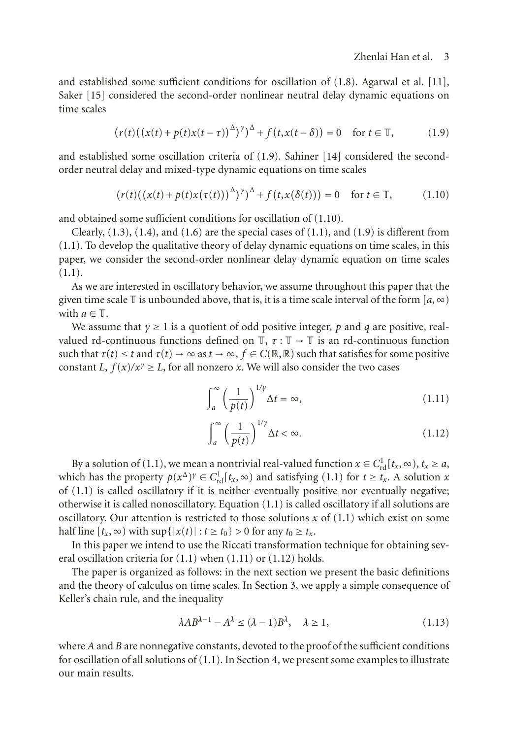and established some sufficient conditions for oscillation of  $(1.8)$ . Agarwal et al.  $[11]$ , Saker [\[15](#page-14-18)] considered the second-order nonlinear neutral delay dynamic equations on time scales

<span id="page-2-0"></span>
$$
(r(t)((x(t) + p(t)x(t-\tau))^{\Delta})^{\gamma})^{\Delta} + f(t,x(t-\delta)) = 0 \quad \text{for } t \in \mathbb{T},
$$
 (1.9)

and established some oscillation criteria of [\(1.9\)](#page-2-0). Sahiner [\[14\]](#page-14-19) considered the secondorder neutral delay and mixed-type dynamic equations on time scales

<span id="page-2-1"></span>
$$
(r(t)((x(t) + p(t)x(\tau(t)))^{\Delta})^{\gamma})^{\Delta} + f(t, x(\delta(t))) = 0 \text{ for } t \in \mathbb{T}, \qquad (1.10)
$$

and obtained some sufficient conditions for oscillation of [\(1.10\)](#page-2-1).

Clearly,  $(1.3)$ ,  $(1.4)$ , and  $(1.6)$  are the special cases of  $(1.1)$ , and  $(1.9)$  is different from [\(1.1\)](#page-1-5). To develop the qualitative theory of delay dynamic equations on time scales, in this paper, we consider the second-order nonlinear delay dynamic equation on time scales  $(1.1).$  $(1.1).$ 

As we are interested in oscillatory behavior, we assume throughout this paper that the given time scale  $\mathbb T$  is unbounded above, that is, it is a time scale interval of the form  $[a,\infty)$ with  $a \in \mathbb{T}$ .

We assume that *γ* <sup>≥</sup> 1 is a quotient of odd positive integer, *<sup>p</sup>* and *<sup>q</sup>* are positive, realvalued rd-continuous functions defined on  $\mathbb{T}$ ,  $\tau : \mathbb{T} \to \mathbb{T}$  is an rd-continuous function such that  $\tau(t) \leq t$  and  $\tau(t) \to \infty$  as  $t \to \infty$ ,  $f \in C(\mathbb{R}, \mathbb{R})$  such that satisfies for some positive constant *L*,  $f(x)/x^{\gamma} \ge L$ , for all nonzero *x*. We will also consider the two cases

<span id="page-2-2"></span>
$$
\int_{a}^{\infty} \left(\frac{1}{p(t)}\right)^{1/\gamma} \Delta t = \infty, \tag{1.11}
$$

<span id="page-2-3"></span>
$$
\int_{a}^{\infty} \left(\frac{1}{p(t)}\right)^{1/\gamma} \Delta t < \infty. \tag{1.12}
$$

By a solution of [\(1.1\)](#page-1-5), we mean a nontrivial real-valued function  $x \in C_{\text{td}}^1[t_x, \infty)$ ,  $t_x \ge a$ , ich has the property  $p(x^{\Delta})^y \in C^1$   $[t, \infty)$  and satisfying (1.1) for  $t > t$ . A solution *x* which has the property  $p(x^{\Delta})^{\gamma} \in C_{\text{rd}}^{1}[t_{x}, \infty)$  and satisfying [\(1.1\)](#page-1-5) for  $t \geq t_{x}$ . A solution *x* of (1.1) is called oscillatory if it is neither eventually positive nor eventually people of  $(1.1)$  is called oscillatory if it is neither eventually positive nor eventually negative; otherwise it is called nonoscillatory. Equation [\(1.1\)](#page-1-5) is called oscillatory if all solutions are oscillatory. Our attention is restricted to those solutions *x* of [\(1.1\)](#page-1-5) which exist on some half line  $[t_x, ∞)$  with  $\sup\{|x(t)| : t \ge t_0\} > 0$  for any  $t_0 \ge t_x$ .

In this paper we intend to use the Riccati transformation technique for obtaining several oscillation criteria for [\(1.1\)](#page-1-5) when [\(1.11\)](#page-2-2) or [\(1.12\)](#page-2-3) holds.

The paper is organized as follows: in the next section we present the basic definitions and the theory of calculus on time scales. In [Section 3,](#page-4-0) we apply a simple consequence of Keller's chain rule, and the inequality

<span id="page-2-4"></span>
$$
\lambda AB^{\lambda - 1} - A^{\lambda} \le (\lambda - 1)B^{\lambda}, \quad \lambda \ge 1,
$$
\n(1.13)

where *A* and *B* are nonnegative constants, devoted to the proof of the sufficient conditions for oscillation of all solutions of [\(1.1\)](#page-1-5). In [Section 4,](#page-13-0) we present some examples to illustrate our main results.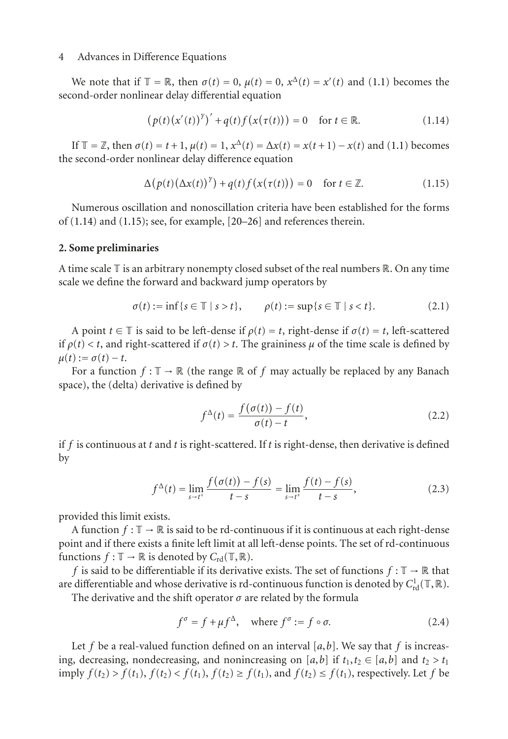We note that if  $\mathbb{T} = \mathbb{R}$ , then  $\sigma(t) = 0$ ,  $\mu(t) = 0$ ,  $x^{\Delta}(t) = x'(t)$  and [\(1.1\)](#page-1-5) becomes the ond-order nonlinear delay differential equation second-order nonlinear delay differential equation

<span id="page-3-0"></span>
$$
\left(p(t)\left(x'(t)\right)^{\gamma}\right)' + q(t)f\left(x(\tau(t))\right) = 0 \quad \text{for } t \in \mathbb{R}.\tag{1.14}
$$

If  $\mathbb{T} = \mathbb{Z}$ , then  $\sigma(t) = t + 1$ ,  $\mu(t) = 1$ ,  $x^{\Delta}(t) = \Delta x(t) = x(t+1) - x(t)$  and [\(1.1\)](#page-1-5) becomes the second-order nonlinear delay difference equation

<span id="page-3-1"></span>
$$
\Delta(p(t)(\Delta x(t))^{\gamma}) + q(t)f(x(\tau(t))) = 0 \quad \text{for } t \in \mathbb{Z}.
$$
 (1.15)

Numerous oscillation and nonoscillation criteria have been established for the forms of [\(1.14\)](#page-3-0) and [\(1.15\)](#page-3-1); see, for example, [\[20](#page-14-20)[–26\]](#page-15-0) and references therein.

### **2. Some preliminaries**

A time scale  $\mathbb T$  is an arbitrary nonempty closed subset of the real numbers  $\mathbb R$ . On any time scale we define the forward and backward jump operators by

$$
\sigma(t) := \inf \{ s \in \mathbb{T} \mid s > t \}, \qquad \rho(t) := \sup \{ s \in \mathbb{T} \mid s < t \}. \tag{2.1}
$$

A point  $t \in \mathbb{T}$  is said to be left-dense if  $\rho(t) = t$ , right-dense if  $\sigma(t) = t$ , left-scattered if  $\rho(t) < t$ , and right-scattered if  $\sigma(t) > t$ . The graininess  $\mu$  of the time scale is defined by  $\mu(t) := \sigma(t) - t$ .

For a function  $f : \mathbb{T} \to \mathbb{R}$  (the range  $\mathbb{R}$  of  $f$  may actually be replaced by any Banach space), the (delta) derivative is defined by

$$
f^{\Delta}(t) = \frac{f(\sigma(t)) - f(t)}{\sigma(t) - t},
$$
\n(2.2)

if *f* is continuous at *t* and *t* is right-scattered. If *t* is right-dense, then derivative is defined by

$$
f^{\Delta}(t) = \lim_{s \to t^{+}} \frac{f(\sigma(t)) - f(s)}{t - s} = \lim_{s \to t^{+}} \frac{f(t) - f(s)}{t - s},
$$
\n(2.3)

provided this limit exists.

A function  $f : \mathbb{T} \to \mathbb{R}$  is said to be rd-continuous if it is continuous at each right-dense point and if there exists a finite left limit at all left-dense points. The set of rd-continuous functions  $f : \mathbb{T} \to \mathbb{R}$  is denoted by  $C_{\text{rd}}(\mathbb{T}, \mathbb{R})$ .

*f* is said to be differentiable if its derivative exists. The set of functions  $f : \mathbb{T} \to \mathbb{R}$  that are differentiable and whose derivative is rd-continuous function is denoted by  $C_{\rm rd}^1(\mathbb{T}, \mathbb{R})$ .<br>The derivative and the shift operator  $\sigma$  are related by the formula

The derivative and the shift operator *σ* are related by the formula

$$
f^{\sigma} = f + \mu f^{\Delta}, \quad \text{where } f^{\sigma} := f \circ \sigma. \tag{2.4}
$$

Let *f* be a real-valued function defined on an interval  $[a, b]$ . We say that *f* is increasing, decreasing, nondecreasing, and nonincreasing on [ $a$ , $b$ ] if  $t_1$ , $t_2 \in [a,b]$  and  $t_2 > t_1$ imply  $f(t_2) > f(t_1)$ ,  $f(t_2) < f(t_1)$ ,  $f(t_2) \ge f(t_1)$ , and  $f(t_2) \le f(t_1)$ , respectively. Let *f* be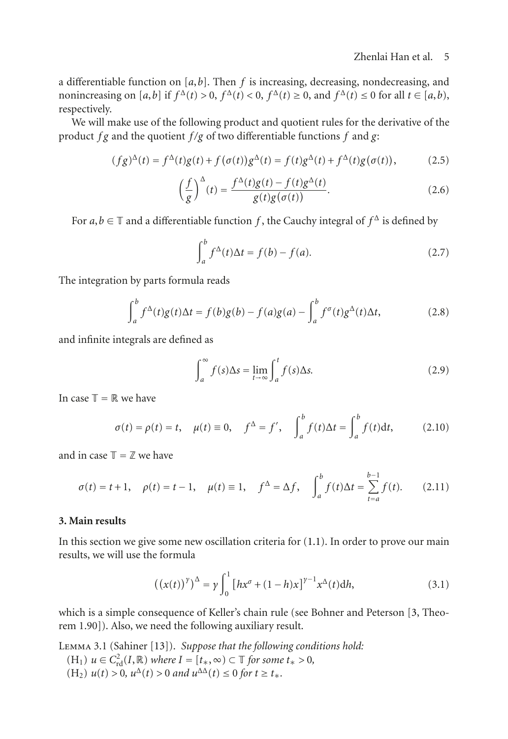# <span id="page-4-4"></span><span id="page-4-1"></span>Zhenlai Han et al. 5

a differentiable function on [a,b]. Then f is increasing, decreasing, nondecreasing, and<br>nonincreasing on [a,b] if  $f^{\Delta}(t) > 0$ ,  $f^{\Delta}(t) < 0$ ,  $f^{\Delta}(t) > 0$ , and  $f^{\Delta}(t) < 0$  for all  $t \in [a, b)$ nonincreasing on  $[a, b]$  if  $f^{\Delta}(t) > 0$ ,  $f^{\Delta}(t) < 0$ ,  $f^{\Delta}(t) \ge 0$ , and  $f^{\Delta}(t) \le 0$  for all  $t \in [a, b)$ , respectively respectively.

We will make use of the following product and quotient rules for the derivative of the product *f g* and the quotient *f /g* of two differentiable functions *f* and *g*:

$$
(fg)^{\Delta}(t) = f^{\Delta}(t)g(t) + f(\sigma(t))g^{\Delta}(t) = f(t)g^{\Delta}(t) + f^{\Delta}(t)g(\sigma(t)),
$$
\n(2.5)

$$
\left(\frac{f}{g}\right)^{\Delta}(t) = \frac{f^{\Delta}(t)g(t) - f(t)g^{\Delta}(t)}{g(t)g(\sigma(t))}.
$$
\n(2.6)

For  $a, b \in \mathbb{T}$  and a differentiable function *f*, the Cauchy integral of  $f^{\Delta}$  is defined by

<span id="page-4-5"></span>
$$
\int_{a}^{b} f^{\Delta}(t)\Delta t = f(b) - f(a). \tag{2.7}
$$

The integration by parts formula reads

$$
\int_{a}^{b} f^{\Delta}(t)g(t)\Delta t = f(b)g(b) - f(a)g(a) - \int_{a}^{b} f^{\sigma}(t)g^{\Delta}(t)\Delta t,
$$
\n(2.8)

and infinite integrals are defined as

$$
\int_{a}^{\infty} f(s) \Delta s = \lim_{t \to \infty} \int_{a}^{t} f(s) \Delta s.
$$
 (2.9)

In case  $\mathbb{T} = \mathbb{R}$  we have

$$
\sigma(t) = \rho(t) = t, \quad \mu(t) \equiv 0, \quad f^{\Delta} = f', \quad \int_{a}^{b} f(t) \Delta t = \int_{a}^{b} f(t) \mathrm{d}t,\tag{2.10}
$$

and in case  $\mathbb{T} = \mathbb{Z}$  we have

$$
\sigma(t) = t + 1, \quad \rho(t) = t - 1, \quad \mu(t) \equiv 1, \quad f^{\Delta} = \Delta f, \quad \int_{a}^{b} f(t) \Delta t = \sum_{t=a}^{b-1} f(t). \tag{2.11}
$$

# <span id="page-4-0"></span>**3. Main results**

In this section we give some new oscillation criteria for [\(1.1\)](#page-1-5). In order to prove our main results, we will use the formula

<span id="page-4-2"></span>
$$
((x(t))^{y})^{\Delta} = y \int_0^1 [hx^{\sigma} + (1-h)x]^{y-1} x^{\Delta}(t) dh,
$$
\n(3.1)

<span id="page-4-3"></span>which is a simple consequence of Keller's chain rule (see Bohner and Peterson [\[3,](#page-14-3) Theorem 1.90]). Also, we need the following auxiliary result.

Lemma 3.1 (Sahiner [\[13\]](#page-14-14)). *Suppose that the following conditions hold:*  $U(H_1)$   $u \in C_{\rm rd}^2(I, \mathbb{R})$  *where*  $I = [t_*, \infty) \subset \mathbb{T}$  *for some*  $t_* > 0$ ,<br> $U(H_2)$   $u(t) > 0$ ,  $u^{\Delta}(t) > 0$  and  $u^{\Delta}(t) < 0$  for  $t > t$  $(H_2)$   $u(t) > 0$ ,  $u^{\Delta}(t) > 0$  and  $u^{\Delta \Delta}(t) \le 0$  for  $t \ge t_*$ .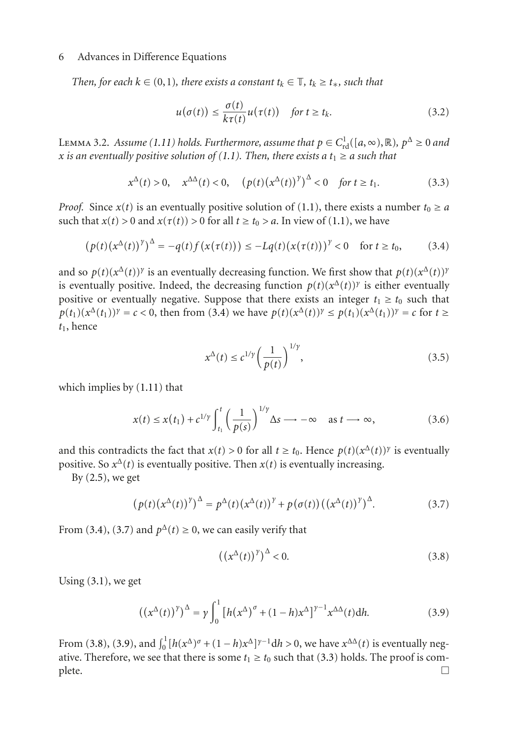*Then, for each*  $k \in (0,1)$ *, there exists a constant*  $t_k \in \mathbb{T}$ *,*  $t_k \geq t_*$ *, such that* 

<span id="page-5-4"></span>
$$
u(\sigma(t)) \le \frac{\sigma(t)}{k\tau(t)} u(\tau(t)) \quad \text{for } t \ge t_k. \tag{3.2}
$$

<span id="page-5-5"></span>**LEMMA 3.2.** *Assume* [\(1.11\)](#page-2-2) *holds. Furthermore, assume that*  $p \in C^1_{\text{rd}}([a, \infty), \mathbb{R})$ ,  $p^{\Delta} \ge 0$  *and*  $x$  *is an eventually positive solution of* (1.1) *Then, there exists a t*,  $\ge a$  *such that x is an eventually positive solution of [\(1.1\)](#page-1-5). Then, there exists a*  $t_1 \ge a$  *such that* 

$$
x^{\Delta}(t) > 0, \quad x^{\Delta\Delta}(t) < 0, \quad (p(t)(x^{\Delta}(t))^{\gamma})^{\Delta} < 0 \quad \text{for } t \ge t_1. \tag{3.3}
$$

*Proof.* Since  $x(t)$  is an eventually positive solution of [\(1.1\)](#page-1-5), there exists a number  $t_0 \ge a$ such that  $x(t) > 0$  and  $x(\tau(t)) > 0$  for all  $t \ge t_0 > a$ . In view of [\(1.1\)](#page-1-5), we have

$$
\left(p(t)\left(x^{\Delta}(t)\right)^{\gamma}\right)^{\Delta} = -q(t)f\left(x(\tau(t))\right) \leq -Lq(t)\left(x(\tau(t))\right)^{\gamma} < 0 \quad \text{for } t \geq t_0,\tag{3.4}
$$

and so  $p(t)(x^{\Delta}(t))$ <sup>*γ*</sup> is an eventually decreasing function. We first show that  $p(t)(x^{\Delta}(t))$ <sup>*γ*</sup> is eventually positive. Indeed, the decreasing function  $p(t)(x^{\Delta}(t))^{\gamma}$  is either eventually positive or eventually negative. Suppose that there exists an integer  $t_1 \geq t_0$  such that *p*(*t*<sub>1</sub>)( $x^{\Delta}(t_1)$ )*γ* = *c* < 0, then from [\(3.4\)](#page-5-0) we have  $p(t)(x^{\Delta}(t))$ <sup>*γ*</sup> ≤  $p(t_1)(x^{\Delta}(t_1))$ <sup>*γ*</sup> = *c* for *t* ≥ *t*1, hence

<span id="page-5-0"></span>
$$
x^{\Delta}(t) \le c^{1/\gamma} \left(\frac{1}{p(t)}\right)^{1/\gamma},\tag{3.5}
$$

which implies by [\(1.11\)](#page-2-2) that

$$
x(t) \le x(t_1) + c^{1/\gamma} \int_{t_1}^t \left(\frac{1}{p(s)}\right)^{1/\gamma} \Delta s \longrightarrow -\infty \quad \text{as } t \longrightarrow \infty,
$$
 (3.6)

and this contradicts the fact that  $x(t) > 0$  for all  $t \ge t_0$ . Hence  $p(t)(x^{\Delta}(t))^{\gamma}$  is eventually positive. So  $x^{\Delta}(t)$  is eventually positive. Then  $x(t)$  is eventually increasing.

By  $(2.5)$ , we get

$$
\left(p(t)\left(x^{\Delta}(t)\right)^{\gamma}\right)^{\Delta} = p^{\Delta}(t)\left(x^{\Delta}(t)\right)^{\gamma} + p\left(\sigma(t)\right)\left(\left(x^{\Delta}(t)\right)^{\gamma}\right)^{\Delta}.\tag{3.7}
$$

From [\(3.4\)](#page-5-0), [\(3.7\)](#page-5-1) and  $p^{\Delta}(t) \ge 0$ , we can easily verify that

<span id="page-5-3"></span><span id="page-5-2"></span><span id="page-5-1"></span>
$$
\left( \left( x^{\Delta}(t) \right)^{\gamma} \right)^{\Delta} < 0. \tag{3.8}
$$

Using [\(3.1\)](#page-4-2), we get

$$
\left(\left(x^{\Delta}(t)\right)^{\gamma}\right)^{\Delta} = \gamma \int_0^1 \left[h\left(x^{\Delta}\right)^{\sigma} + (1-h)x^{\Delta}\right]^{\gamma-1} x^{\Delta\Delta}(t) \mathrm{d}h. \tag{3.9}
$$

<span id="page-5-6"></span>From [\(3.8\)](#page-5-2), [\(3.9\)](#page-5-3), and  $\int_0^1 [h(x^{\Delta})^{\sigma} + (1-h)x^{\Delta}]^{\gamma-1} dh > 0$ , we have  $x^{\Delta\Delta}(t)$  is eventually neg-<br>ative Therefore, we see that there is some *t*.  $> t_0$  such that (3.3) holds. The proof is comative. Therefore, we see that there is some  $t_1 \ge t_0$  such that [\(3.3\)](#page-5-4) holds. The proof is complete. plete.  $\Box$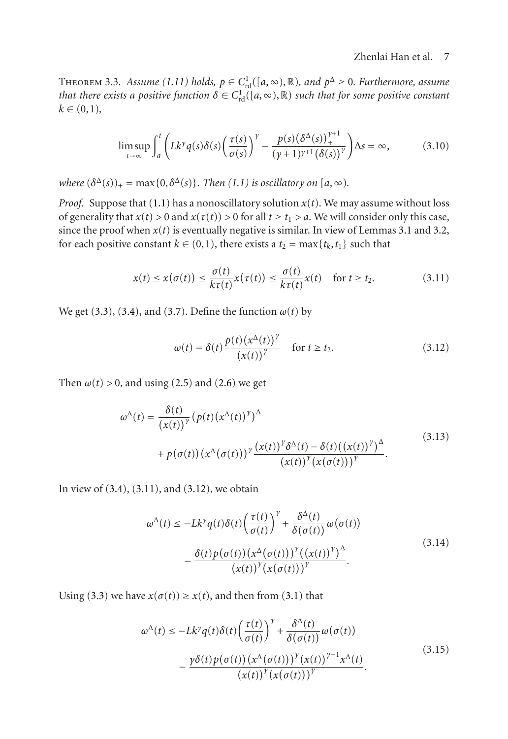## <span id="page-6-2"></span>Zhenlai Han et al. 7

THEOREM 3.3. *Assume* [\(1.11\)](#page-2-2) *holds,*  $p \in C^1_{\text{rd}}([a, \infty), \mathbb{R})$ *, and*  $p^{\Delta} \ge 0$ *. Furthermore, assume* that there exists a positive function  $\delta \in C^1$ .  $(\lceil a, \infty) \rceil \mathbb{R}$  such that for some positive constant *that there exists a positive function*  $\delta \in C^1_{\text{rd}}([a, \infty), \mathbb{R})$  *such that for some positive constant*  $k \in (0, 1)$  $k \in (0,1)$ ,

$$
\limsup_{t \to \infty} \int_{a}^{t} \left( Lk^{\gamma} q(s) \delta(s) \left( \frac{\tau(s)}{\sigma(s)} \right)^{\gamma} - \frac{p(s) (\delta^{\Delta}(s))_{+}^{\gamma+1}}{(\gamma+1)^{\gamma+1} (\delta(s))^{\gamma}} \right) \Delta s = \infty, \tag{3.10}
$$

*where*  $(\delta^{\Delta}(s))_{+} = \max\{0, \delta^{\Delta}(s)\}\$ . *Then* [\(1.1\)](#page-1-5) *is oscillatory on* [*a*, ∞).

*Proof.* Suppose that [\(1.1\)](#page-1-5) has a nonoscillatory solution  $x(t)$ . We may assume without loss of generality that  $x(t) > 0$  and  $x(\tau(t)) > 0$  for all  $t \ge t_1 > a$ . We will consider only this case, since the proof when  $x(t)$  is eventually negative is similar. In view of Lemmas [3.1](#page-4-3) and [3.2,](#page-5-5) for each positive constant  $k \in (0,1)$ , there exists a  $t_2 = \max\{t_k, t_1\}$  such that

$$
x(t) \le x(\sigma(t)) \le \frac{\sigma(t)}{k\tau(t)} x(\tau(t)) \le \frac{\sigma(t)}{k\tau(t)} x(t) \quad \text{for } t \ge t_2.
$$
 (3.11)

We get [\(3.3\)](#page-5-4), [\(3.4\)](#page-5-0), and [\(3.7\)](#page-5-1). Define the function  $\omega(t)$  by

<span id="page-6-1"></span><span id="page-6-0"></span>
$$
\omega(t) = \delta(t) \frac{p(t)(x^{\Delta}(t))^\gamma}{(x(t))^\gamma} \quad \text{for } t \ge t_2.
$$
 (3.12)

Then  $\omega(t) > 0$ , and using [\(2.5\)](#page-4-1) and [\(2.6\)](#page-4-4) we get

$$
\omega^{\Delta}(t) = \frac{\delta(t)}{(x(t))^{\gamma}} (p(t) (x^{\Delta}(t))^{\gamma})^{\Delta}
$$
  
+ 
$$
p(\sigma(t)) (x^{\Delta}(\sigma(t)))^{\gamma} \frac{(x(t))^{\gamma} \delta^{\Delta}(t) - \delta(t) ((x(t))^{\gamma})^{\Delta}}{(x(t))^{\gamma} (x(\sigma(t)))^{\gamma}}.
$$
(3.13)

In view of  $(3.4)$ ,  $(3.11)$ , and  $(3.12)$ , we obtain

$$
\omega^{\Delta}(t) \le -Lk^{\gamma}q(t)\delta(t)\left(\frac{\tau(t)}{\sigma(t)}\right)^{\gamma} + \frac{\delta^{\Delta}(t)}{\delta(\sigma(t))}\omega(\sigma(t))
$$

$$
-\frac{\delta(t)p(\sigma(t))\left(x^{\Delta}(\sigma(t))\right)^{\gamma}\left(\left(x(t)\right)^{\gamma}\right)^{\Delta}}{\left(x(t)\right)^{\gamma}\left(x(\sigma(t))\right)^{\gamma}}.
$$
(3.14)

Using [\(3.3\)](#page-5-4) we have  $x(\sigma(t)) \ge x(t)$ , and then from [\(3.1\)](#page-4-2) that

$$
\omega^{\Delta}(t) \le -Lk^{\gamma}q(t)\delta(t)\left(\frac{\tau(t)}{\sigma(t)}\right)^{\gamma} + \frac{\delta^{\Delta}(t)}{\delta(\sigma(t))}\omega(\sigma(t))
$$

$$
-\frac{\gamma\delta(t)p(\sigma(t))\left(x^{\Delta}(\sigma(t))\right)^{\gamma}\left(x(t)\right)^{\gamma-1}x^{\Delta}(t)}{\left(x(t)\right)^{\gamma}\left(x(\sigma(t))\right)^{\gamma}}.
$$
(3.15)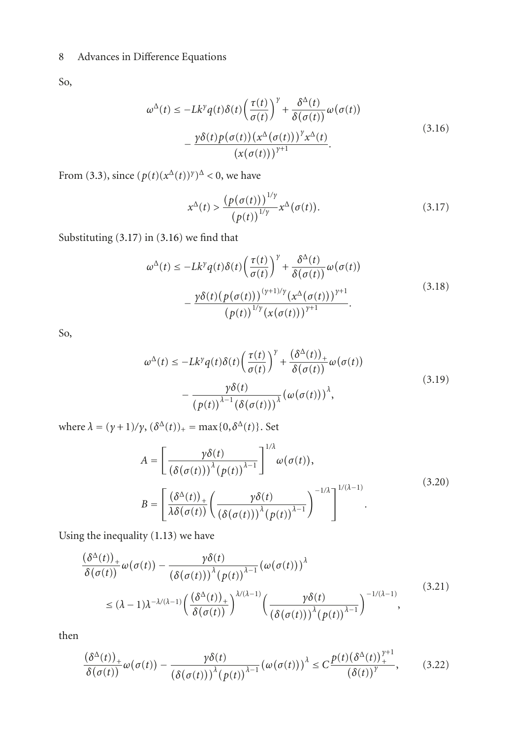So,

$$
\omega^{\Delta}(t) \le -Lk^{\gamma}q(t)\delta(t)\left(\frac{\tau(t)}{\sigma(t)}\right)^{\gamma} + \frac{\delta^{\Delta}(t)}{\delta(\sigma(t))}\omega(\sigma(t))
$$

$$
-\frac{\gamma\delta(t)p(\sigma(t))(x^{\Delta}(\sigma(t)))^{\gamma}x^{\Delta}(t)}{(x(\sigma(t)))^{\gamma+1}}.
$$
(3.16)

From [\(3.3\)](#page-5-4), since  $(p(t)(x^{\Delta}(t))^{\gamma})^{\Delta} < 0$ , we have

<span id="page-7-1"></span><span id="page-7-0"></span>
$$
x^{\Delta}(t) > \frac{\left(p(\sigma(t))\right)^{1/\gamma}}{\left(p(t)\right)^{1/\gamma}} x^{\Delta}(\sigma(t)).
$$
\n(3.17)

Substituting [\(3.17\)](#page-7-0) in [\(3.16\)](#page-7-1) we find that

$$
\omega^{\Delta}(t) \le -Lk^{\gamma}q(t)\delta(t)\left(\frac{\tau(t)}{\sigma(t)}\right)^{\gamma} + \frac{\delta^{\Delta}(t)}{\delta(\sigma(t))}\omega(\sigma(t))
$$

$$
-\frac{\gamma\delta(t)\left(p(\sigma(t))\right)^{(\gamma+1)/\gamma}\left(x^{\Delta}(\sigma(t))\right)^{\gamma+1}}{\left(p(t)\right)^{1/\gamma}\left(x(\sigma(t))\right)^{\gamma+1}}.
$$
(3.18)

So,

<span id="page-7-2"></span>
$$
\omega^{\Delta}(t) \le -Lk^{\gamma}q(t)\delta(t)\left(\frac{\tau(t)}{\sigma(t)}\right)^{\gamma} + \frac{(\delta^{\Delta}(t))_{+}}{\delta(\sigma(t))}\omega(\sigma(t))
$$
  

$$
-\frac{\gamma\delta(t)}{(p(t))^{\lambda-1}(\delta(\sigma(t)))^{\lambda}}(\omega(\sigma(t)))^{\lambda},
$$
\n(3.19)

where  $\lambda = (\gamma + 1)/\gamma$ ,  $(\delta^{\Delta}(t))_+ = \max\{0, \delta^{\Delta}(t)\}\.$  Set

$$
A = \left[\frac{\gamma \delta(t)}{\left(\delta(\sigma(t))\right)^{\lambda}(p(t))^{\lambda-1}}\right]^{1/\lambda} \omega(\sigma(t)),
$$
  
\n
$$
B = \left[\frac{\left(\delta^{\Delta}(t)\right)_{+}}{\lambda \delta(\sigma(t))}\left(\frac{\gamma \delta(t)}{\left(\delta(\sigma(t))\right)^{\lambda}(p(t))^{\lambda-1}}\right)^{-1/\lambda}\right]^{1/(\lambda-1)}.
$$
\n(3.20)

Using the inequality [\(1.13\)](#page-2-4) we have

$$
\frac{(\delta^{\Delta}(t))_{+}}{\delta(\sigma(t))}\omega(\sigma(t)) - \frac{\gamma \delta(t)}{(\delta(\sigma(t)))^{\lambda}(\rho(t))^{\lambda-1}}(\omega(\sigma(t)))^{\lambda}
$$
\n
$$
\leq (\lambda - 1)\lambda^{-\lambda/(\lambda - 1)} \left(\frac{(\delta^{\Delta}(t))_{+}}{\delta(\sigma(t))}\right)^{\lambda/(\lambda - 1)} \left(\frac{\gamma \delta(t)}{(\delta(\sigma(t)))^{\lambda}(\rho(t))}\right)^{\lambda-1} \tag{3.21}
$$

then

<span id="page-7-3"></span>
$$
\frac{(\delta^{\Delta}(t))_+}{\delta(\sigma(t))}\omega(\sigma(t)) - \frac{\gamma \delta(t)}{(\delta(\sigma(t)))^{\lambda}(\rho(t))^{\lambda-1}}\left(\omega(\sigma(t))\right)^{\lambda} \le C \frac{p(t)(\delta^{\Delta}(t))_+^{\gamma+1}}{(\delta(t))^\gamma},\tag{3.22}
$$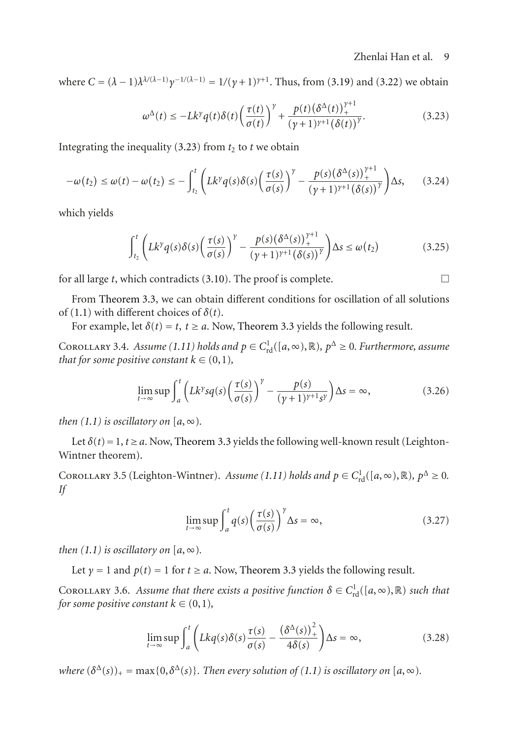where  $C = (\lambda - 1)\lambda^{(\lambda/(\lambda-1)} \gamma^{-1/(\lambda-1)} = 1/(\gamma + 1)^{\gamma+1}$ . Thus, from [\(3.19\)](#page-7-2) and [\(3.22\)](#page-7-3) we obtain

<span id="page-8-0"></span>
$$
\omega^{\Delta}(t) \le -Lk^{\gamma}q(t)\delta(t)\left(\frac{\tau(t)}{\sigma(t)}\right)^{\gamma} + \frac{p(t)(\delta^{\Delta}(t))_{+}^{\gamma+1}}{(\gamma+1)^{\gamma+1}(\delta(t))^{\gamma}}.
$$
\n(3.23)

Integrating the inequality  $(3.23)$  from  $t_2$  to  $t$  we obtain

$$
-\omega(t_2) \le \omega(t) - \omega(t_2) \le -\int_{t_2}^t \left( Lk^\gamma q(s)\delta(s) \left( \frac{\tau(s)}{\sigma(s)} \right)^\gamma - \frac{p(s) \left( \delta^\Delta(s) \right)_+^{\gamma+1}}{\left( \gamma + 1 \right)^{\gamma+1} \left( \delta(s) \right)^\gamma} \right) \Delta s, \quad (3.24)
$$

which yields

$$
\int_{t_2}^t \left( Lk^\gamma q(s)\delta(s) \left( \frac{\tau(s)}{\sigma(s)} \right)^\gamma - \frac{p(s) (\delta^\Delta(s))_+^{\gamma+1}}{(\gamma+1)^{\gamma+1} (\delta(s))^\gamma} \right) \Delta s \le \omega(t_2)
$$
\n(3.25)

for all large *t*, which contradicts  $(3.10)$ . The proof is complete.  $\Box$ 

From [Theorem 3.3,](#page-5-6) we can obtain different conditions for oscillation of all solutions of [\(1.1\)](#page-1-5) with different choices of *δ*(*t*).

For example, let  $\delta(t) = t$ ,  $t \ge a$ . Now, [Theorem 3.3](#page-5-6) yields the following result.

<span id="page-8-1"></span>COROLLARY 3.4. *Assume* [\(1.11\)](#page-2-2) *holds and*  $p \in C^1_{\rm rd}([a, \infty), \mathbb{R})$ ,  $p^{\Delta} \ge 0$ *. Furthermore, assume*<br>*that for some positive constant*  $k \in (0, 1)$ *that for some positive constant*  $k \in (0,1)$ *,* 

$$
\lim_{t \to \infty} \sup \int_{a}^{t} \left( Lk^{\gamma} s q(s) \left( \frac{\tau(s)}{\sigma(s)} \right)^{\gamma} - \frac{p(s)}{(\gamma + 1)^{\gamma + 1} s^{\gamma}} \right) \Delta s = \infty, \tag{3.26}
$$

*then*  $(1.1)$  *is oscillatory on*  $[a, \infty)$ *.* 

Let  $\delta(t) = 1$ ,  $t \ge a$ . Now, [Theorem 3.3](#page-5-6) yields the following well-known result (Leighton-Wintner theorem).

COROLLARY 3.5 (Leighton-Wintner). *Assume* [\(1.11\)](#page-2-2) *holds and*  $p \in C^1_{\rm rd}([a, \infty), \mathbb{R})$ ,  $p^{\Delta} \ge 0$ . *If*

$$
\lim_{t \to \infty} \sup \int_{a}^{t} q(s) \left( \frac{\tau(s)}{\sigma(s)} \right)^{\gamma} \Delta s = \infty, \tag{3.27}
$$

*then*  $(1.1)$  *is oscillatory on*  $[a, \infty)$ *.* 

Let  $\gamma = 1$  and  $p(t) = 1$  for  $t \ge a$ . Now, [Theorem 3.3](#page-5-6) yields the following result.

COROLLARY 3.6. *Assume that there exists a positive function*  $\delta \in C^1_{\text{rd}}([a, \infty), \mathbb{R})$  *such that* for some positive constant  $k \in (0, 1)$ *for some positive constant*  $k \in (0,1)$ *,* 

$$
\lim_{t \to \infty} \sup \int_{a}^{t} \left( Lkq(s)\delta(s)\frac{\tau(s)}{\sigma(s)} - \frac{\left(\delta^{\Delta}(s)\right)_+^2}{4\delta(s)} \right) \Delta s = \infty, \tag{3.28}
$$

*where*  $(\delta^{\Delta}(s))_{+} = \max\{0, \delta^{\Delta}(s)\}\$ . Then every solution of [\(1.1\)](#page-1-5) is oscillatory on [a,  $\infty$ ).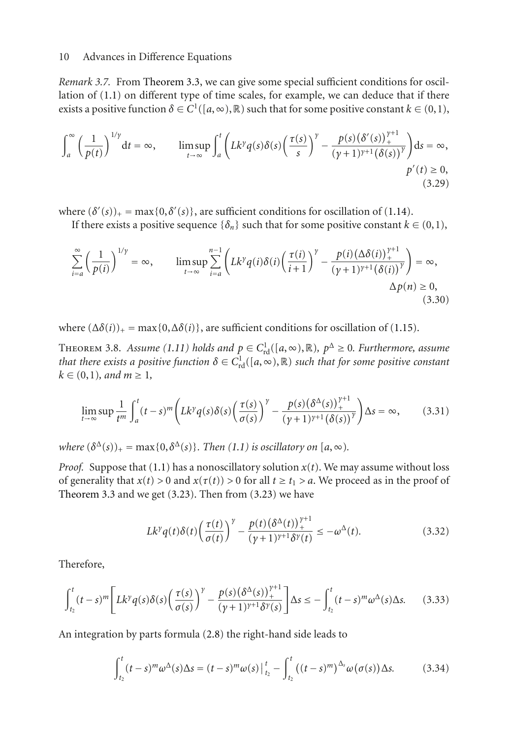*Remark 3.7.* From [Theorem 3.3,](#page-5-6) we can give some special sufficient conditions for oscillation of [\(1.1\)](#page-1-5) on different type of time scales, for example, we can deduce that if there exists a positive function  $\delta \in C^1([a,\infty),\mathbb{R})$  such that for some positive constant  $k \in (0,1)$ ,

$$
\int_{a}^{\infty} \left(\frac{1}{p(t)}\right)^{1/\gamma} dt = \infty, \qquad \limsup_{t \to \infty} \int_{a}^{t} \left(Lk^{\gamma} q(s) \delta(s) \left(\frac{\tau(s)}{s}\right)^{\gamma} - \frac{p(s) \left(\delta'(s)\right)^{\gamma+1}}{(\gamma+1)^{\gamma+1} \left(\delta(s)\right)^{\gamma}}\right) ds = \infty, \tag{3.29}
$$

where  $(\delta'(s))_+ = \max\{0, \delta'(s)\}\$ , are sufficient conditions for oscillation of [\(1.14\)](#page-3-0).

If there exists a positive sequence  $\{\delta_n\}$  such that for some positive constant  $k \in (0,1)$ ,

$$
\sum_{i=a}^{\infty} \left(\frac{1}{p(i)}\right)^{1/\gamma} = \infty, \qquad \limsup_{t \to \infty} \sum_{i=a}^{n-1} \left(Lk^{\gamma}q(i)\delta(i)\left(\frac{\tau(i)}{i+1}\right)^{\gamma} - \frac{p(i)\left(\Delta\delta(i)\right)^{\gamma+1}}{(\gamma+1)^{\gamma+1}\left(\delta(i)\right)^{\gamma}}\right) = \infty, \qquad \Delta p(n) \ge 0,
$$
\n(3.30)

<span id="page-9-2"></span>where  $(\Delta \delta(i))_+$  = max $\{0, \Delta \delta(i)\}\)$ , are sufficient conditions for oscillation of [\(1.15\)](#page-3-1).

**THEOREM 3.8.** *Assume* [\(1.11\)](#page-2-2) *holds and*  $p \in C^1_{\text{rd}}([a, \infty), \mathbb{R})$ ,  $p^{\Delta} \ge 0$ . Furthermore, assume that there exists a positive function  $\delta \in C^1$ . ([a,  $\infty)$  |R) such that for some positive constant *that there exists a positive function*  $\delta \in C^1_{\text{rd}}([a, \infty), \mathbb{R})$  *such that for some positive constant*  $k \in (0, 1)$  and  $m > 1$  $k \in (0,1)$ *, and*  $m \geq 1$ *,* 

$$
\lim_{t \to \infty} \sup \frac{1}{t^m} \int_a^t (t-s)^m \left( Lk^{\gamma} q(s) \delta(s) \left( \frac{\tau(s)}{\sigma(s)} \right)^{\gamma} - \frac{p(s) (\delta^{\Delta}(s))_+^{\gamma+1}}{(\gamma+1)^{\gamma+1} (\delta(s))^\gamma} \right) \Delta s = \infty, \tag{3.31}
$$

*where*  $(\delta^{\Delta}(s))_{+} = \max\{0, \delta^{\Delta}(s)\}\$ . *Then*  $(1.1)$  *is oscillatory on*  $[a, \infty)$ .

*Proof.* Suppose that [\(1.1\)](#page-1-5) has a nonoscillatory solution  $x(t)$ . We may assume without loss of generality that  $x(t) > 0$  and  $x(\tau(t)) > 0$  for all  $t \ge t_1 > a$ . We proceed as in the proof of [Theorem 3.3](#page-5-6) and we get  $(3.23)$ . Then from  $(3.23)$  we have

<span id="page-9-1"></span><span id="page-9-0"></span>
$$
L k^{\gamma} q(t) \delta(t) \left(\frac{\tau(t)}{\sigma(t)}\right)^{\gamma} - \frac{p(t) (\delta^{\Delta}(t))_{+}^{\gamma+1}}{(\gamma+1)^{\gamma+1} \delta^{\gamma}(t)} \le -\omega^{\Delta}(t). \tag{3.32}
$$

Therefore,

$$
\int_{t_2}^t (t-s)^m \Bigg[ Lk^\gamma q(s) \delta(s) \Big( \frac{\tau(s)}{\sigma(s)} \Big)^\gamma - \frac{p(s) (\delta^\Delta(s))_+^{\gamma+1}}{(\gamma+1)^{\gamma+1} \delta^\gamma(s)} \Bigg] \Delta s \le - \int_{t_2}^t (t-s)^\gamma \omega^\Delta(s) \Delta s. \tag{3.33}
$$

An integration by parts formula [\(2.8\)](#page-4-5) the right-hand side leads to

$$
\int_{t_2}^t (t-s)^m \omega^{\Delta}(s) \Delta s = (t-s)^m \omega(s) \Big|_{t_2}^t - \int_{t_2}^t ((t-s)^m)^{\Delta_s} \omega(\sigma(s)) \Delta s. \tag{3.34}
$$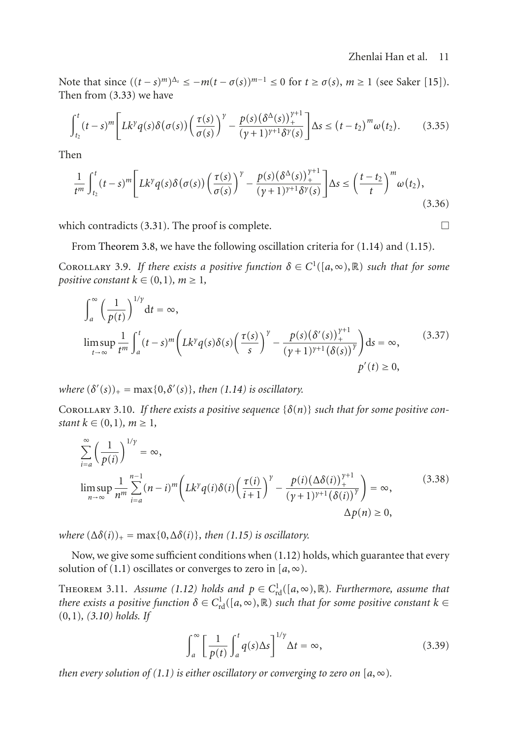# Zhenlai Han et al. 11

Note that since  $((t-s)^m)^{\Delta_s} \leq -m(t-\sigma(s))^{m-1} \leq 0$  for  $t \geq \sigma(s)$ ,  $m \geq 1$  (see Saker [\[15](#page-14-18)]). Then from [\(3.33\)](#page-9-0) we have

$$
\int_{t_2}^t (t-s)^m \Bigg[ Lk^\gamma q(s) \delta\big(\sigma(s)\big) \bigg(\frac{\tau(s)}{\sigma(s)}\bigg)^\gamma - \frac{p(s) \big(\delta^\Delta(s)\big)_+^{\gamma+1}}{(\gamma+1)^{\gamma+1} \delta^\gamma(s)} \Bigg] \Delta s \le (t-t_2)^m \omega(t_2). \tag{3.35}
$$

Then

$$
\frac{1}{t^m} \int_{t_2}^t (t-s)^m \Bigg[ Lk^\gamma q(s) \delta(\sigma(s)) \Big( \frac{\tau(s)}{\sigma(s)} \Big)^\gamma - \frac{p(s) (\delta^\Delta(s))_+^{\gamma+1}}{(\gamma+1)^{\gamma+1} \delta^\gamma(s)} \Bigg] \Delta s \le \Big( \frac{t-t_2}{t} \Big)^m \omega(t_2),\tag{3.36}
$$

which contradicts [\(3.31\)](#page-9-1). The proof is complete.  $\Box$ 

From [Theorem 3.8,](#page-9-2) we have the following oscillation criteria for [\(1.14\)](#page-3-0) and [\(1.15\)](#page-3-1).

COROLLARY 3.9. If there exists a positive function  $\delta \in C^1([a,\infty),\mathbb{R})$  such that for some *positive constant*  $k \in (0,1)$ *,*  $m \geq 1$ *,* 

$$
\int_{a}^{\infty} \left(\frac{1}{p(t)}\right)^{1/\gamma} dt = \infty,
$$
\n
$$
\limsup_{t \to \infty} \frac{1}{t^{m}} \int_{a}^{t} (t-s)^{m} \left(Lk^{\gamma} q(s) \delta(s) \left(\frac{\tau(s)}{s}\right)^{\gamma} - \frac{p(s) \left(\delta'(s)\right)^{\gamma+1}}{(\gamma+1)^{\gamma+1} \left(\delta(s)\right)^{\gamma}} \right) ds = \infty,
$$
\n
$$
p'(t) \ge 0,
$$
\n(3.37)

*where*  $(\delta'(s))_{+} = \max\{0, \delta'(s)\},$  *then*  $(1.14)$  *is oscillatory.* 

COROLLARY 3.10. If there exists a positive sequence  $\{\delta(n)\}\$  such that for some positive con*stant*  $k \in (0,1)$ *,*  $m \ge 1$ ,

$$
\sum_{i=a}^{\infty} \left(\frac{1}{p(i)}\right)^{1/\gamma} = \infty,
$$
\n
$$
\limsup_{n \to \infty} \frac{1}{n^m} \sum_{i=a}^{n-1} (n-i)^m \left(Lk^{\gamma} q(i) \delta(i) \left(\frac{\tau(i)}{i+1}\right)^{\gamma} - \frac{p(i) (\Delta \delta(i))_{+}^{\gamma+1}}{(\gamma+1)^{\gamma+1} (\delta(i))^{\gamma}}\right) = \infty,
$$
\n
$$
\Delta p(n) \ge 0,
$$
\n(3.38)

*where*  $(\Delta \delta(i))_{+} = \max\{0, \Delta \delta(i)\}\$ , *then*  $(1.15)$  *is oscillatory.* 

<span id="page-10-1"></span>Now, we give some sufficient conditions when [\(1.12\)](#page-2-3) holds, which guarantee that every solution of [\(1.1\)](#page-1-5) oscillates or converges to zero in  $[a, \infty)$ .

THEOREM 3.11. *Assume* [\(1.12\)](#page-2-3) *holds and*  $p \in C^1_{\text{rd}}([a, \infty), \mathbb{R})$ *. Furthermore, assume that*<br>*there exists a positive function*  $\delta \in C^1([a, \infty), \mathbb{R})$  such that for some positive constant  $k \in$ *there exists a positive function*  $\delta \in C^1_{\text{rd}}([a, \infty), \mathbb{R})$  *such that for some positive constant*  $k \in (0, 1)$  (3.10) holds If (0,1)*, [\(3.10\)](#page-6-2) holds. If*

<span id="page-10-0"></span>
$$
\int_{a}^{\infty} \left[ \frac{1}{p(t)} \int_{a}^{t} q(s) \Delta s \right]^{1/\gamma} \Delta t = \infty, \tag{3.39}
$$

*then every solution of [\(1.1\)](#page-1-5) is either oscillatory or converging to zero on* [ $a, \infty$ ).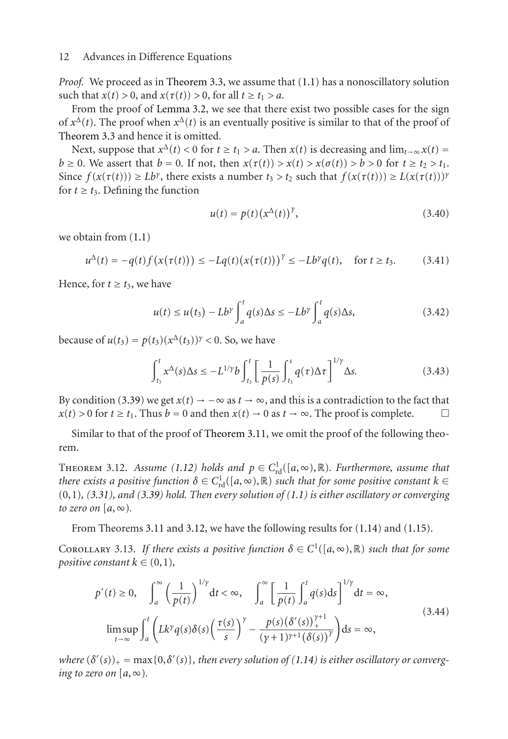*Proof.* We proceed as in [Theorem 3.3,](#page-5-6) we assume that [\(1.1\)](#page-1-5) has a nonoscillatory solution such that  $x(t) > 0$ , and  $x(\tau(t)) > 0$ , for all  $t \ge t_1 > a$ .

From the proof of [Lemma 3.2,](#page-5-5) we see that there exist two possible cases for the sign of  $x^{\Delta}(t)$ . The proof when  $x^{\Delta}(t)$  is an eventually positive is similar to that of the proof of [Theorem 3.3](#page-5-6) and hence it is omitted.

Next, suppose that  $x^{\Delta}(t) < 0$  for  $t \ge t_1 > a$ . Then  $x(t)$  is decreasing and  $\lim_{t \to \infty} x(t) =$  $b \ge 0$ . We assert that  $b = 0$ . If not, then  $x(\tau(t)) > x(t) > x(\sigma(t)) > b > 0$  for  $t \ge t_2 > t_1$ . Since  $f(x(\tau(t))) \ge Lb^{\gamma}$ , there exists a number  $t_3 > t_2$  such that  $f(x(\tau(t))) \ge L(x(\tau(t)))^{\gamma}$ for  $t \geq t_3$ . Defining the function

$$
u(t) = p(t) (x^{\Delta}(t))^{\gamma},
$$
 (3.40)

we obtain from [\(1.1\)](#page-1-5)

$$
u^{\Delta}(t) = -q(t)f(x(\tau(t))) \le -Lq(t)(x(\tau(t)))^{\gamma} \le -Lb^{\gamma}q(t), \quad \text{for } t \ge t_3. \tag{3.41}
$$

Hence, for  $t \geq t_3$ , we have

$$
u(t) \le u(t_3) - Lb^{\gamma} \int_a^t q(s) \Delta s \le -Lb^{\gamma} \int_a^t q(s) \Delta s, \tag{3.42}
$$

because of  $u(t_3) = p(t_3)(x^{\Delta}(t_3))^{\gamma} < 0$ . So, we have

$$
\int_{t_3}^t x^{\Delta}(s) \Delta s \le -L^{1/\gamma} b \int_{t_3}^t \left[ \frac{1}{p(s)} \int_{t_3}^s q(\tau) \Delta \tau \right]^{1/\gamma} \Delta s. \tag{3.43}
$$

By condition [\(3.39\)](#page-10-0) we get  $x(t) \to -\infty$  as  $t \to \infty$ , and this is a contradiction to the fact that  $x(t) > 0$  for  $t \ge t_1$ . Thus  $b = 0$  and then  $x(t) \to 0$  as  $t \to \infty$ . The proof is complete.  $x(t) > 0$  for  $t \ge t_1$ . Thus  $b = 0$  and then  $x(t) \to 0$  as  $t \to \infty$ . The proof is complete.

<span id="page-11-0"></span>Similar to that of the proof of [Theorem 3.11,](#page-10-1) we omit the proof of the following theorem.

THEOREM 3.12. *Assume* [\(1.12\)](#page-2-3) *holds and*  $p \in C^1_{\text{rd}}([a, \infty), \mathbb{R})$ *. Furthermore, assume that*<br>*there exists a positive function*  $\delta \in C^1$ . ([*a*,  $\infty)$  |R) such that for some positive constant  $k \in$ *there exists a positive function*  $\delta \in C^1_{\rm rd}([a, \infty), \mathbb{R})$  *such that for some positive constant*  $k \in (0, 1)$  (3.31) *and* (3.39) hold. Then every solution of (1.1) is either oscillatory or converging (0,1)*, [\(3.31\)](#page-9-1), and [\(3.39\)](#page-10-0) hold. Then every solution of [\(1.1\)](#page-1-5) is either oscillatory or converging to zero on*  $[a, \infty)$ *.* 

From Theorems [3.11](#page-10-1) and [3.12,](#page-11-0) we have the following results for [\(1.14\)](#page-3-0) and [\(1.15\)](#page-3-1).

COROLLARY 3.13. If there exists a positive function  $\delta \in C^1([a,\infty),\mathbb{R})$  such that for some *positive constant*  $k \in (0,1)$ *,* 

$$
p'(t) \ge 0, \quad \int_{a}^{\infty} \left(\frac{1}{p(t)}\right)^{1/\gamma} dt < \infty, \quad \int_{a}^{\infty} \left[\frac{1}{p(t)} \int_{a}^{t} q(s) ds\right]^{1/\gamma} dt = \infty,
$$
\n
$$
\limsup_{t \to \infty} \int_{a}^{t} \left(Lk^{\gamma} q(s) \delta(s) \left(\frac{\tau(s)}{s}\right)^{\gamma} - \frac{p(s) (\delta'(s))_{+}^{\gamma+1}}{(\gamma+1)^{\gamma+1} (\delta(s))^{\gamma}}\right) ds = \infty,
$$
\n
$$
(3.44)
$$

*where*  $(\delta'(s))_+ = \max\{0, \delta'(s)\}$ , then every solution of [\(1.14\)](#page-3-0) is either oscillatory or converg-<br>ing to zero on [a,  $\infty$ ) *ing to zero on*  $[a, \infty)$ *.*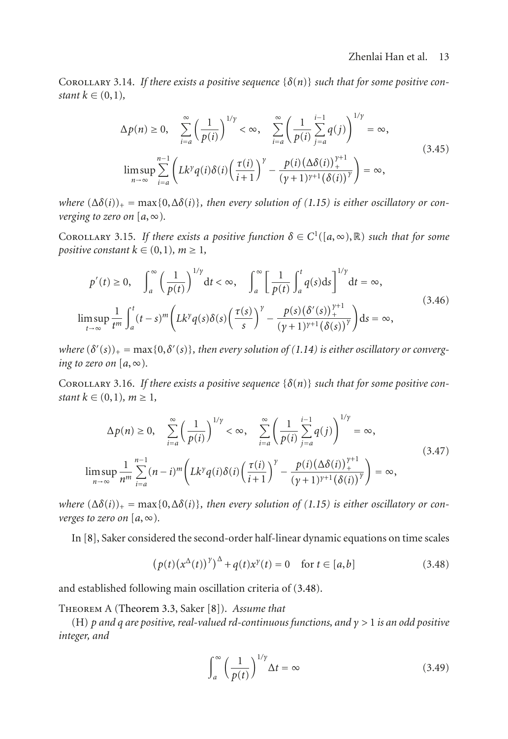COROLLARY 3.14. If there exists a positive sequence  $\{\delta(n)\}\$  such that for some positive con*stant*  $k \in (0,1)$ *,* 

$$
\Delta p(n) \ge 0, \quad \sum_{i=a}^{\infty} \left(\frac{1}{p(i)}\right)^{1/y} < \infty, \quad \sum_{i=a}^{\infty} \left(\frac{1}{p(i)} \sum_{j=a}^{i-1} q(j)\right)^{1/y} = \infty,
$$
\n
$$
\limsup_{n \to \infty} \sum_{i=a}^{n-1} \left(Lk^{\gamma} q(i) \delta(i) \left(\frac{\tau(i)}{i+1}\right)^{\gamma} - \frac{p(i) \left(\Delta \delta(i)\right)^{\gamma+1}}{(\gamma+1)^{\gamma+1} \left(\delta(i)\right)^{\gamma}}\right) = \infty,
$$
\n
$$
(3.45)
$$

*where*  $(\Delta \delta(i))_{+} = \max\{0, \Delta \delta(i)\}\$ , then every solution of [\(1.15\)](#page-3-1) is either oscillatory or con*verging to zero on*  $[a, \infty)$ .

COROLLARY 3.15. *If there exists a positive function*  $\delta \in C^1([a, \infty), \mathbb{R})$  *such that for some positive constant*  $k \in (0,1)$ *,*  $m \geq 1$ *,* 

$$
p'(t) \ge 0, \quad \int_{a}^{\infty} \left(\frac{1}{p(t)}\right)^{1/\gamma} dt < \infty, \quad \int_{a}^{\infty} \left[\frac{1}{p(t)} \int_{a}^{t} q(s) ds\right]^{1/\gamma} dt = \infty,
$$
  

$$
\limsup_{t \to \infty} \frac{1}{t^{m}} \int_{a}^{t} (t-s)^{m} \left(Lk^{\gamma} q(s) \delta(s) \left(\frac{\tau(s)}{s}\right)^{\gamma} - \frac{p(s) (\delta'(s))_{+}^{\gamma+1}}{(\gamma+1)^{\gamma+1} (\delta(s))^{\gamma}}\right) ds = \infty,
$$
\n(3.46)

*where*  $(\delta'(s))_+ = \max\{0, \delta'(s)\}$ , then every solution of [\(1.14\)](#page-3-0) is either oscillatory or converg-<br>ing to zero on [a, ∞) *ing to zero on*  $[a, \infty)$ *.* 

COROLLARY 3.16. If there exists a positive sequence  $\{\delta(n)\}\$  such that for some positive con*stant*  $k \in (0,1)$ *,*  $m \ge 1$ *,* 

$$
\Delta p(n) \ge 0, \quad \sum_{i=a}^{\infty} \left(\frac{1}{p(i)}\right)^{1/\gamma} < \infty, \quad \sum_{i=a}^{\infty} \left(\frac{1}{p(i)} \sum_{j=a}^{i-1} q(j)\right)^{1/\gamma} = \infty,
$$
\n
$$
\limsup_{n \to \infty} \frac{1}{n^m} \sum_{i=a}^{n-1} (n-i)^m \left(Lk^{\gamma} q(i) \delta(i) \left(\frac{\tau(i)}{i+1}\right)^{\gamma} - \frac{p(i) (\Delta \delta(i))_{+}^{\gamma+1}}{(\gamma+1)^{\gamma+1} (\delta(i))^{\gamma}}\right) = \infty,
$$
\n(3.47)

*where*  $(\Delta \delta(i))_{+} = \max\{0, \Delta \delta(i)\}\$ , then every solution of [\(1.15\)](#page-3-1) is either oscillatory or con*verges to zero on*  $[a, \infty)$ *.* 

In [\[8](#page-14-8)], Saker considered the second-order half-linear dynamic equations on time scales

$$
\left(p(t)\left(x^{\Delta}(t)\right)^{\gamma}\right)^{\Delta} + q(t)x^{\gamma}(t) = 0 \quad \text{for } t \in [a, b]
$$
\n(3.48)

and established following main oscillation criteria of [\(3.48\)](#page-12-0).

Theorem A ([Theorem 3.3,](#page-5-6) Saker [\[8](#page-14-8)]). *Assume that*

(H) *p and q are positive, real-valued rd-continuous functions, and γ >* <sup>1</sup> *is an odd positive integer, and*

<span id="page-12-0"></span>
$$
\int_{a}^{\infty} \left(\frac{1}{p(t)}\right)^{1/\gamma} \Delta t = \infty \tag{3.49}
$$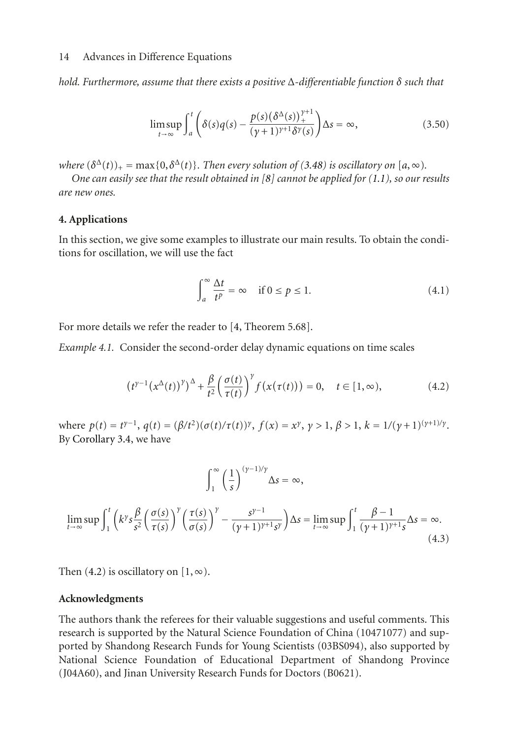*hold. Furthermore, assume that there exists a positive* <sup>Δ</sup>*-differentiable function δ such that*

$$
\limsup_{t \to \infty} \int_{a}^{t} \left( \delta(s)q(s) - \frac{p(s)(\delta^{\Delta}(s))_{+}^{\gamma+1}}{(\gamma+1)^{\gamma+1} \delta^{\gamma}(s)} \right) \Delta s = \infty, \tag{3.50}
$$

*where*  $(\delta^{\Delta}(t))_{+} = \max\{0, \delta^{\Delta}(t)\}\$ . Then every solution of [\(3.48\)](#page-12-0) is oscillatory on [a,  $\infty$ ).

*One can easily see that the result obtained in [\[8](#page-14-8)] cannot be applied for [\(1.1\)](#page-1-5), so our results are new ones.*

## <span id="page-13-0"></span>**4. Applications**

In this section, we give some examples to illustrate our main results. To obtain the conditions for oscillation, we will use the fact

<span id="page-13-1"></span>
$$
\int_{a}^{\infty} \frac{\Delta t}{t^p} = \infty \quad \text{if } 0 \le p \le 1.
$$
 (4.1)

For more details we refer the reader to [\[4](#page-14-4), Theorem 5.68].

*Example 4.1.* Consider the second-order delay dynamic equations on time scales

$$
\left(t^{\gamma-1}\left(x^{\Delta}(t)\right)^{\gamma}\right)^{\Delta} + \frac{\beta}{t^2} \left(\frac{\sigma(t)}{\tau(t)}\right)^{\gamma} f\left(x(\tau(t))\right) = 0, \quad t \in [1, \infty),\tag{4.2}
$$

where  $p(t) = t^{\gamma-1}$ ,  $q(t) = (\beta/t^2)(\sigma(t)/\tau(t))^{\gamma}$ ,  $f(x) = x^{\gamma}$ ,  $\gamma > 1$ ,  $\beta > 1$ ,  $k = 1/(\gamma + 1)^{(\gamma+1)/\gamma}$ . By [Corollary 3.4,](#page-8-1) we have

$$
\int_{1}^{\infty} \left(\frac{1}{s}\right)^{(y-1)/y} \Delta s = \infty,
$$
  

$$
\lim_{t \to \infty} \sup \int_{1}^{t} \left(k^{\gamma} s \frac{\beta}{s^2} \left(\frac{\sigma(s)}{\tau(s)}\right)^{\gamma} \left(\frac{\tau(s)}{\sigma(s)}\right)^{\gamma} - \frac{s^{\gamma-1}}{(y+1)^{\gamma+1}s^{\gamma}} \right) \Delta s = \lim_{t \to \infty} \sup \int_{1}^{t} \frac{\beta - 1}{(y+1)^{\gamma+1}s} \Delta s = \infty.
$$
\n(4.3)

Then [\(4.2\)](#page-13-1) is oscillatory on  $[1, \infty)$ .

# **Acknowledgments**

The authors thank the referees for their valuable suggestions and useful comments. This research is supported by the Natural Science Foundation of China (10471077) and supported by Shandong Research Funds for Young Scientists (03BS094), also supported by National Science Foundation of Educational Department of Shandong Province (J04A60), and Jinan University Research Funds for Doctors (B0621).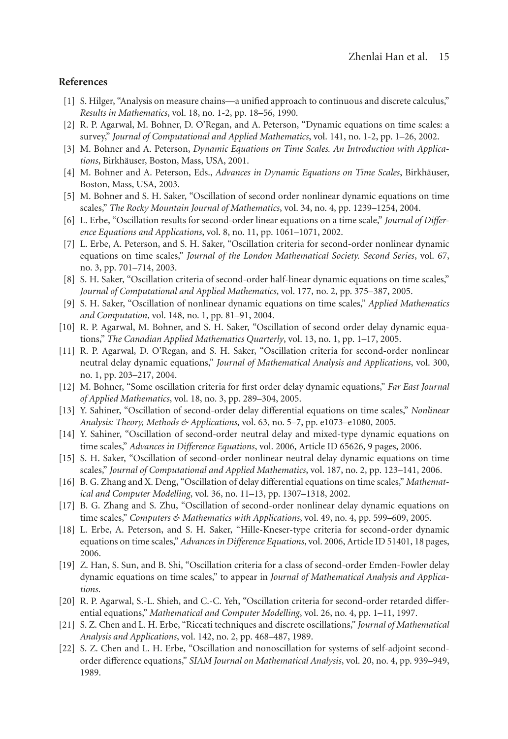# <span id="page-14-1"></span><span id="page-14-0"></span>**References**

- [1] S. Hilger, "Analysis on measure chains—a unified approach to continuous and discrete calculus," *Results in Mathematics*, vol. 18, no. 1-2, pp. 18–56, 1990.
- <span id="page-14-2"></span>[2] R. P. Agarwal, M. Bohner, D. O'Regan, and A. Peterson, "Dynamic equations on time scales: a survey," *Journal of Computational and Applied Mathematics*, vol. 141, no. 1-2, pp. 1–26, 2002.
- <span id="page-14-3"></span>[3] M. Bohner and A. Peterson, *Dynamic Equations on Time Scales. An Introduction with Applications*, Birkhauser, Boston, Mass, USA, 2001. ¨
- <span id="page-14-4"></span>[4] M. Bohner and A. Peterson, Eds., *Advances in Dynamic Equations on Time Scales*, Birkhäuser, Boston, Mass, USA, 2003.
- <span id="page-14-5"></span>[5] M. Bohner and S. H. Saker, "Oscillation of second order nonlinear dynamic equations on time scales," *The Rocky Mountain Journal of Mathematics*, vol. 34, no. 4, pp. 1239–1254, 2004.
- <span id="page-14-6"></span>[6] L. Erbe, "Oscillation results for second-order linear equations on a time scale," *Journal of Difference Equations and Applications*, vol. 8, no. 11, pp. 1061–1071, 2002.
- <span id="page-14-7"></span>[7] L. Erbe, A. Peterson, and S. H. Saker, "Oscillation criteria for second-order nonlinear dynamic equations on time scales," *Journal of the London Mathematical Society. Second Series*, vol. 67, no. 3, pp. 701–714, 2003.
- <span id="page-14-8"></span>[8] S. H. Saker, "Oscillation criteria of second-order half-linear dynamic equations on time scales," *Journal of Computational and Applied Mathematics*, vol. 177, no. 2, pp. 375–387, 2005.
- <span id="page-14-9"></span>[9] S. H. Saker, "Oscillation of nonlinear dynamic equations on time scales," *Applied Mathematics and Computation*, vol. 148, no. 1, pp. 81–91, 2004.
- <span id="page-14-10"></span>[10] R. P. Agarwal, M. Bohner, and S. H. Saker, "Oscillation of second order delay dynamic equations," *The Canadian Applied Mathematics Quarterly*, vol. 13, no. 1, pp. 1–17, 2005.
- <span id="page-14-17"></span>[11] R. P. Agarwal, D. O'Regan, and S. H. Saker, "Oscillation criteria for second-order nonlinear neutral delay dynamic equations," *Journal of Mathematical Analysis and Applications*, vol. 300, no. 1, pp. 203–217, 2004.
- <span id="page-14-13"></span>[12] M. Bohner, "Some oscillation criteria for first order delay dynamic equations," *Far East Journal of Applied Mathematics*, vol. 18, no. 3, pp. 289–304, 2005.
- <span id="page-14-14"></span>[13] Y. Sahiner, "Oscillation of second-order delay differential equations on time scales," *Nonlinear Analysis: Theory, Methods & Applications*, vol. 63, no. 5–7, pp. e1073–e1080, 2005.
- <span id="page-14-19"></span>[14] Y. Sahiner, "Oscillation of second-order neutral delay and mixed-type dynamic equations on time scales," *Advances in Difference Equations*, vol. 2006, Article ID 65626, 9 pages, 2006.
- <span id="page-14-18"></span>[15] S. H. Saker, "Oscillation of second-order nonlinear neutral delay dynamic equations on time scales," *Journal of Computational and Applied Mathematics*, vol. 187, no. 2, pp. 123–141, 2006.
- <span id="page-14-12"></span>[16] B. G. Zhang and X. Deng, "Oscillation of delay differential equations on time scales," *Mathematical and Computer Modelling*, vol. 36, no. 11–13, pp. 1307–1318, 2002.
- <span id="page-14-11"></span>[17] B. G. Zhang and S. Zhu, "Oscillation of second-order nonlinear delay dynamic equations on time scales," *Computers & Mathematics with Applications*, vol. 49, no. 4, pp. 599–609, 2005.
- <span id="page-14-15"></span>[18] L. Erbe, A. Peterson, and S. H. Saker, "Hille-Kneser-type criteria for second-order dynamic equations on time scales," *Advances in Difference Equations*, vol. 2006, Article ID 51401, 18 pages, 2006.
- <span id="page-14-16"></span>[19] Z. Han, S. Sun, and B. Shi, "Oscillation criteria for a class of second-order Emden-Fowler delay dynamic equations on time scales," to appear in *Journal of Mathematical Analysis and Applications*.
- <span id="page-14-20"></span>[20] R. P. Agarwal, S.-L. Shieh, and C.-C. Yeh, "Oscillation criteria for second-order retarded differential equations," *Mathematical and Computer Modelling*, vol. 26, no. 4, pp. 1–11, 1997.
- [21] S. Z. Chen and L. H. Erbe, "Riccati techniques and discrete oscillations," *Journal of Mathematical Analysis and Applications*, vol. 142, no. 2, pp. 468–487, 1989.
- [22] S. Z. Chen and L. H. Erbe, "Oscillation and nonoscillation for systems of self-adjoint secondorder difference equations," *SIAM Journal on Mathematical Analysis*, vol. 20, no. 4, pp. 939–949, 1989.